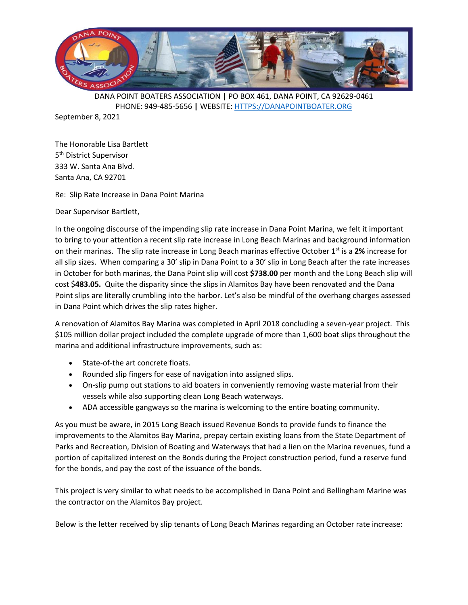

September 8, 2021

The Honorable Lisa Bartlett 5<sup>th</sup> District Supervisor 333 W. Santa Ana Blvd. Santa Ana, CA 92701

Re: Slip Rate Increase in Dana Point Marina

Dear Supervisor Bartlett,

In the ongoing discourse of the impending slip rate increase in Dana Point Marina, we felt it important to bring to your attention a recent slip rate increase in Long Beach Marinas and background information on their marinas. The slip rate increase in Long Beach marinas effective October 1<sup>st</sup> is a 2% increase for all slip sizes. When comparing a 30' slip in Dana Point to a 30' slip in Long Beach after the rate increases in October for both marinas, the Dana Point slip will cost **\$738.00** per month and the Long Beach slip will cost \$**483.05.** Quite the disparity since the slips in Alamitos Bay have been renovated and the Dana Point slips are literally crumbling into the harbor. Let's also be mindful of the overhang charges assessed in Dana Point which drives the slip rates higher.

A renovation of Alamitos Bay Marina was completed in April 2018 concluding a seven-year project. This \$105 million dollar project included the complete upgrade of more than 1,600 boat slips throughout the marina and additional infrastructure improvements, such as:

- State-of-the art concrete floats.
- Rounded slip fingers for ease of navigation into assigned slips.
- On-slip pump out stations to aid boaters in conveniently removing waste material from their vessels while also supporting clean Long Beach waterways.
- ADA accessible gangways so the marina is welcoming to the entire boating community.

As you must be aware, in 2015 Long Beach issued Revenue Bonds to provide funds to finance the improvements to the Alamitos Bay Marina, prepay certain existing loans from the State Department of Parks and Recreation, Division of Boating and Waterways that had a lien on the Marina revenues, fund a portion of capitalized interest on the Bonds during the Project construction period, fund a reserve fund for the bonds, and pay the cost of the issuance of the bonds.

This project is very similar to what needs to be accomplished in Dana Point and Bellingham Marine was the contractor on the Alamitos Bay project.

Below is the letter received by slip tenants of Long Beach Marinas regarding an October rate increase: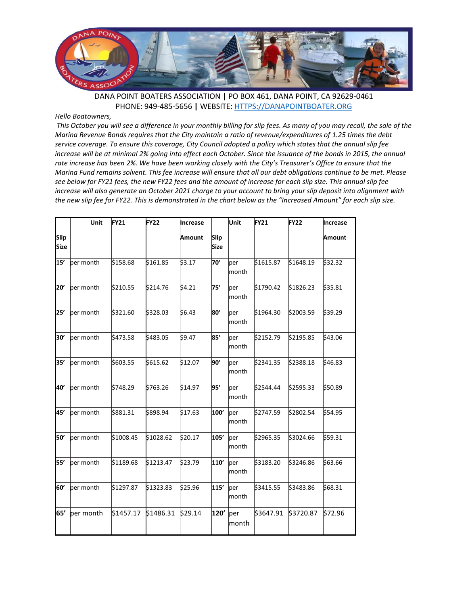

## *Hello Boatowners,*

*This October you will see a difference in your monthly billing for slip fees. As many of you may recall, the sale of the Marina Revenue Bonds requires that the City maintain a ratio of revenue/expenditures of 1.25 times the debt service coverage. To ensure this coverage, City Council adopted a policy which states that the annual slip fee increase will be at minimal 2% going into effect each October. Since the issuance of the bonds in 2015, the annual rate increase has been 2%. We have been working closely with the City's Treasurer's Office to ensure that the Marina Fund remains solvent. This fee increase will ensure that all our debt obligations continue to be met. Please see below for FY21 fees, the new FY22 fees and the amount of increase for each slip size. This annual slip fee increase will also generate an October 2021 charge to your account to bring your slip deposit into alignment with the new slip fee for FY22. This is demonstrated in the chart below as the "Increased Amount" for each slip size.*

|                            | Unit      | <b>FY21</b> | FY <sub>22</sub> | Increase |              | Unit                  | <b>FY21</b> | FY22      | <b>Increase</b> |
|----------------------------|-----------|-------------|------------------|----------|--------------|-----------------------|-------------|-----------|-----------------|
| <b>Slip</b><br><b>Size</b> |           |             |                  | Amount   | Slip<br>Size |                       |             |           | Amount          |
| 15′                        | ber month | \$158.68    | \$161.85         | \$3.17   | פל:          | ber<br>month          | \$1615.87   | \$1648.19 | \$32.32         |
| 20'                        | per month | \$210.55    | \$214.76         | \$4.21   | 75'          | per<br>lmonth         | \$1790.42   | \$1826.23 | \$35.81         |
| 25'                        | per month | \$321.60    | \$328.03         | \$6.43   | 80'          | per<br>month          | \$1964.30   | \$2003.59 | \$39.29         |
| 30'                        | ber month | \$473.58    | \$483.05         | \$9.47   | 85'          | ber<br>month          | \$2152.79   | \$2195.85 | \$43.06         |
| 35'                        | per month | \$603.55    | \$615.62         | \$12.07  | boʻ          | ber<br>month          | \$2341.35   | \$2388.18 | \$46.83         |
| 40'                        | ber month | \$748.29    | \$763.26         | \$14.97  | 95'          | ber<br>month          | \$2544.44   | \$2595.33 | \$50.89         |
| 45'                        | per month | \$881.31    | \$898.94         | \$17.63  | 100'         | ber<br>lmonth         | \$2747.59   | \$2802.54 | \$54.95         |
| 50'                        | per month | \$1008.45   | \$1028.62        | \$20.17  | h05'         | ber<br>month          | \$2965.35   | \$3024.66 | \$59.31         |
| 55'                        | ber month | \$1189.68   | \$1213.47        | \$23.79  | h10'         | ber<br>month          | \$3183.20   | \$3246.86 | \$63.66         |
| 60'                        | per month | \$1297.87   | \$1323.83        | \$25.96  | 115'         | ber<br><b>l</b> month | \$3415.55   | \$3483.86 | \$68.31         |
| 65'                        | per month | \$1457.17   | \$1486.31        | \$29.14  | 120'         | per<br>month          | \$3647.91   | \$3720.87 | \$72.96         |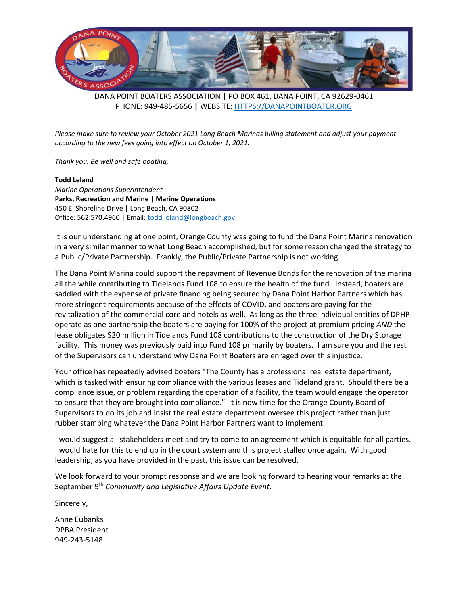

*Please make sure to review your October 2021 Long Beach Marinas billing statement and adjust your payment according to the new fees going into effect on October 1, 2021.*

*Thank you. Be well and safe boating,*

**Todd Leland** *Marine Operations Superintendent* **Parks, Recreation and Marine | Marine Operations** 450 E. Shoreline Drive | Long Beach, CA 90802 Office: 562.570.4960 | Email: [todd.leland@longbeach.gov](mailto:todd.leland@longbeach.gov)

It is our understanding at one point, Orange County was going to fund the Dana Point Marina renovation in a very similar manner to what Long Beach accomplished, but for some reason changed the strategy to a Public/Private Partnership. Frankly, the Public/Private Partnership is not working.

The Dana Point Marina could support the repayment of Revenue Bonds for the renovation of the marina all the while contributing to Tidelands Fund 108 to ensure the health of the fund. Instead, boaters are saddled with the expense of private financing being secured by Dana Point Harbor Partners which has more stringent requirements because of the effects of COVID, and boaters are paying for the revitalization of the commercial core and hotels as well. As long as the three individual entities of DPHP operate as one partnership the boaters are paying for 100% of the project at premium pricing *AND* the lease obligates \$20 million in Tidelands Fund 108 contributions to the construction of the Dry Storage facility. This money was previously paid into Fund 108 primarily by boaters. I am sure you and the rest of the Supervisors can understand why Dana Point Boaters are enraged over this injustice.

Your office has repeatedly advised boaters "The County has a professional real estate department, which is tasked with ensuring compliance with the various leases and Tideland grant. Should there be a compliance issue, or problem regarding the operation of a facility, the team would engage the operator to ensure that they are brought into compliance." It is now time for the Orange County Board of Supervisors to do its job and insist the real estate department oversee this project rather than just rubber stamping whatever the Dana Point Harbor Partners want to implement.

I would suggest all stakeholders meet and try to come to an agreement which is equitable for all parties. I would hate for this to end up in the court system and this project stalled once again. With good leadership, as you have provided in the past, this issue can be resolved.

We look forward to your prompt response and we are looking forward to hearing your remarks at the September 9th *Community and Legislative Affairs Update Event.*

Sincerely,

Anne Eubanks DPBA President 949-243-5148